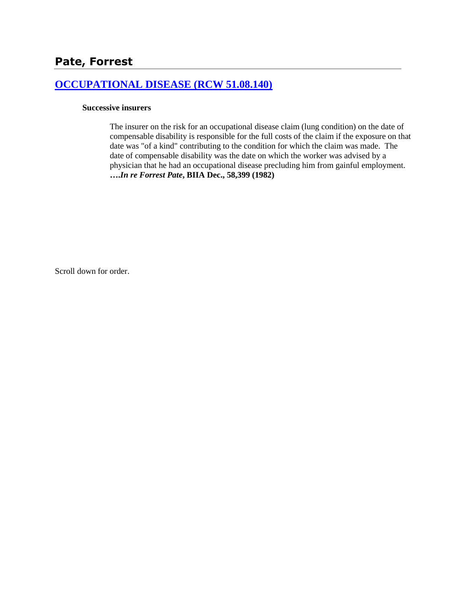## **[OCCUPATIONAL DISEASE \(RCW 51.08.140\)](http://www.biia.wa.gov/SDSubjectIndex.html#OCCUPATIONAL_DISEASE)**

### **Successive insurers**

The insurer on the risk for an occupational disease claim (lung condition) on the date of compensable disability is responsible for the full costs of the claim if the exposure on that date was "of a kind" contributing to the condition for which the claim was made. The date of compensable disability was the date on which the worker was advised by a physician that he had an occupational disease precluding him from gainful employment. **….***In re Forrest Pate***, BIIA Dec., 58,399 (1982)**

Scroll down for order.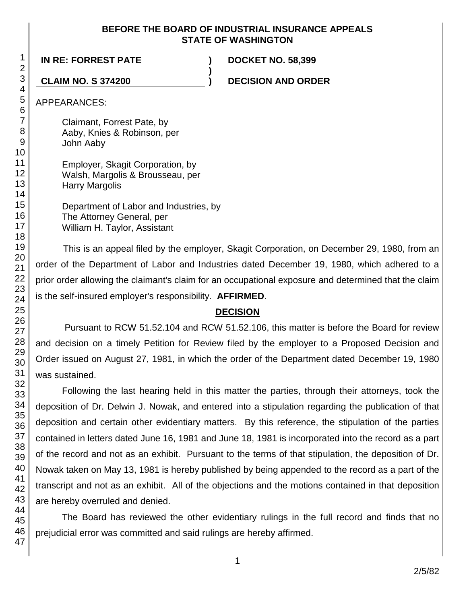### **BEFORE THE BOARD OF INDUSTRIAL INSURANCE APPEALS STATE OF WASHINGTON**

**)**

**IN RE: FORREST PATE ) DOCKET NO. 58,399**

**CLAIM NO. S 374200 ) DECISION AND ORDER**

APPEARANCES:

Claimant, Forrest Pate, by Aaby, Knies & Robinson, per John Aaby

Employer, Skagit Corporation, by Walsh, Margolis & Brousseau, per Harry Margolis

Department of Labor and Industries, by The Attorney General, per William H. Taylor, Assistant

This is an appeal filed by the employer, Skagit Corporation, on December 29, 1980, from an order of the Department of Labor and Industries dated December 19, 1980, which adhered to a prior order allowing the claimant's claim for an occupational exposure and determined that the claim is the self-insured employer's responsibility. **AFFIRMED**.

### **DECISION**

Pursuant to RCW 51.52.104 and RCW 51.52.106, this matter is before the Board for review and decision on a timely Petition for Review filed by the employer to a Proposed Decision and Order issued on August 27, 1981, in which the order of the Department dated December 19, 1980 was sustained.

Following the last hearing held in this matter the parties, through their attorneys, took the deposition of Dr. Delwin J. Nowak, and entered into a stipulation regarding the publication of that deposition and certain other evidentiary matters. By this reference, the stipulation of the parties contained in letters dated June 16, 1981 and June 18, 1981 is incorporated into the record as a part of the record and not as an exhibit. Pursuant to the terms of that stipulation, the deposition of Dr. Nowak taken on May 13, 1981 is hereby published by being appended to the record as a part of the transcript and not as an exhibit. All of the objections and the motions contained in that deposition are hereby overruled and denied.

The Board has reviewed the other evidentiary rulings in the full record and finds that no prejudicial error was committed and said rulings are hereby affirmed.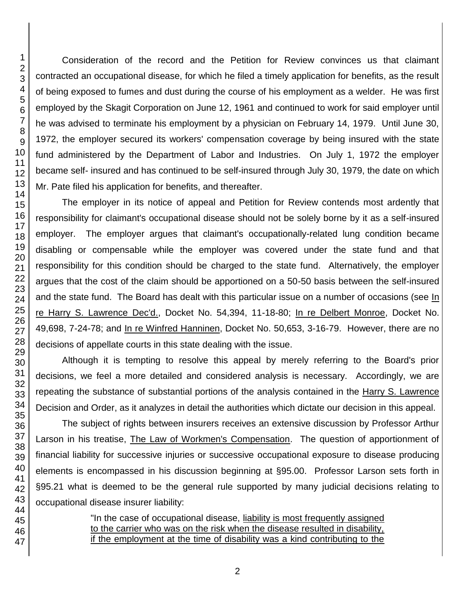Consideration of the record and the Petition for Review convinces us that claimant contracted an occupational disease, for which he filed a timely application for benefits, as the result of being exposed to fumes and dust during the course of his employment as a welder. He was first employed by the Skagit Corporation on June 12, 1961 and continued to work for said employer until he was advised to terminate his employment by a physician on February 14, 1979. Until June 30, 1972, the employer secured its workers' compensation coverage by being insured with the state fund administered by the Department of Labor and Industries. On July 1, 1972 the employer became self- insured and has continued to be self-insured through July 30, 1979, the date on which Mr. Pate filed his application for benefits, and thereafter.

The employer in its notice of appeal and Petition for Review contends most ardently that responsibility for claimant's occupational disease should not be solely borne by it as a self-insured employer. The employer argues that claimant's occupationally-related lung condition became disabling or compensable while the employer was covered under the state fund and that responsibility for this condition should be charged to the state fund. Alternatively, the employer argues that the cost of the claim should be apportioned on a 50-50 basis between the self-insured and the state fund. The Board has dealt with this particular issue on a number of occasions (see In re Harry S. Lawrence Dec'd., Docket No. 54,394, 11-18-80; In re Delbert Monroe, Docket No. 49,698, 7-24-78; and In re Winfred Hanninen, Docket No. 50,653, 3-16-79. However, there are no decisions of appellate courts in this state dealing with the issue.

Although it is tempting to resolve this appeal by merely referring to the Board's prior decisions, we feel a more detailed and considered analysis is necessary. Accordingly, we are repeating the substance of substantial portions of the analysis contained in the Harry S. Lawrence Decision and Order, as it analyzes in detail the authorities which dictate our decision in this appeal.

The subject of rights between insurers receives an extensive discussion by Professor Arthur Larson in his treatise, The Law of Workmen's Compensation. The question of apportionment of financial liability for successive injuries or successive occupational exposure to disease producing elements is encompassed in his discussion beginning at §95.00. Professor Larson sets forth in §95.21 what is deemed to be the general rule supported by many judicial decisions relating to occupational disease insurer liability:

> "In the case of occupational disease, liability is most frequently assigned to the carrier who was on the risk when the disease resulted in disability, if the employment at the time of disability was a kind contributing to the

47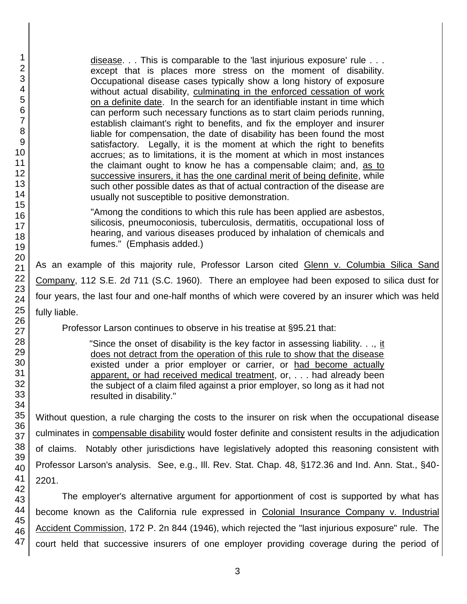disease. . . This is comparable to the 'last injurious exposure' rule . . . except that is places more stress on the moment of disability. Occupational disease cases typically show a long history of exposure without actual disability, culminating in the enforced cessation of work on a definite date. In the search for an identifiable instant in time which can perform such necessary functions as to start claim periods running, establish claimant's right to benefits, and fix the employer and insurer liable for compensation, the date of disability has been found the most satisfactory. Legally, it is the moment at which the right to benefits accrues; as to limitations, it is the moment at which in most instances the claimant ought to know he has a compensable claim; and, as to successive insurers, it has the one cardinal merit of being definite, while such other possible dates as that of actual contraction of the disease are usually not susceptible to positive demonstration.

"Among the conditions to which this rule has been applied are asbestos, silicosis, pneumoconiosis, tuberculosis, dermatitis, occupational loss of hearing, and various diseases produced by inhalation of chemicals and fumes." (Emphasis added.)

As an example of this majority rule, Professor Larson cited Glenn v. Columbia Silica Sand Company, 112 S.E. 2d 711 (S.C. 1960). There an employee had been exposed to silica dust for four years, the last four and one-half months of which were covered by an insurer which was held fully liable.

Professor Larson continues to observe in his treatise at §95.21 that:

"Since the onset of disability is the key factor in assessing liability. . ., it does not detract from the operation of this rule to show that the disease existed under a prior employer or carrier, or had become actually apparent, or had received medical treatment, or, . . . had already been the subject of a claim filed against a prior employer, so long as it had not resulted in disability."

Without question, a rule charging the costs to the insurer on risk when the occupational disease culminates in compensable disability would foster definite and consistent results in the adjudication of claims. Notably other jurisdictions have legislatively adopted this reasoning consistent with Professor Larson's analysis. See, e.g., Ill. Rev. Stat. Chap. 48, §172.36 and Ind. Ann. Stat., §40- 2201.

The employer's alternative argument for apportionment of cost is supported by what has become known as the California rule expressed in Colonial Insurance Company v. Industrial Accident Commission, 172 P. 2n 844 (1946), which rejected the "last injurious exposure" rule. The court held that successive insurers of one employer providing coverage during the period of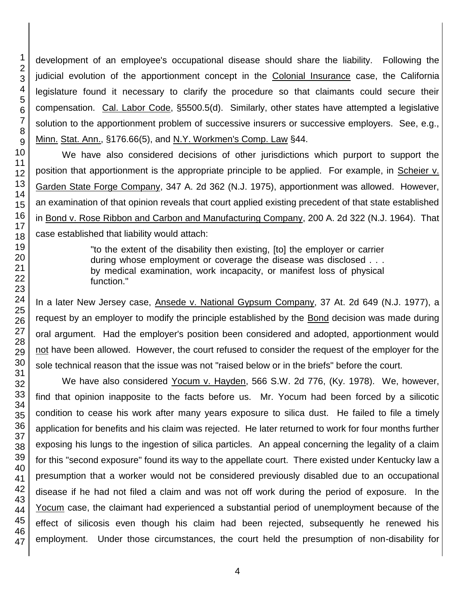development of an employee's occupational disease should share the liability. Following the judicial evolution of the apportionment concept in the Colonial Insurance case, the California legislature found it necessary to clarify the procedure so that claimants could secure their compensation. Cal. Labor Code, §5500.5(d). Similarly, other states have attempted a legislative solution to the apportionment problem of successive insurers or successive employers. See, e.g., Minn. Stat. Ann., §176.66(5), and N.Y. Workmen's Comp. Law §44.

We have also considered decisions of other jurisdictions which purport to support the position that apportionment is the appropriate principle to be applied. For example, in Scheier v. Garden State Forge Company, 347 A. 2d 362 (N.J. 1975), apportionment was allowed. However, an examination of that opinion reveals that court applied existing precedent of that state established in Bond v. Rose Ribbon and Carbon and Manufacturing Company, 200 A. 2d 322 (N.J. 1964). That case established that liability would attach:

> "to the extent of the disability then existing, [to] the employer or carrier during whose employment or coverage the disease was disclosed . . . by medical examination, work incapacity, or manifest loss of physical function."

In a later New Jersey case, Ansede v. National Gypsum Company, 37 At. 2d 649 (N.J. 1977), a request by an employer to modify the principle established by the Bond decision was made during oral argument. Had the employer's position been considered and adopted, apportionment would not have been allowed. However, the court refused to consider the request of the employer for the sole technical reason that the issue was not "raised below or in the briefs" before the court.

We have also considered Yocum v. Hayden, 566 S.W. 2d 776, (Ky. 1978). We, however, find that opinion inapposite to the facts before us. Mr. Yocum had been forced by a silicotic condition to cease his work after many years exposure to silica dust. He failed to file a timely application for benefits and his claim was rejected. He later returned to work for four months further exposing his lungs to the ingestion of silica particles. An appeal concerning the legality of a claim for this "second exposure" found its way to the appellate court. There existed under Kentucky law a presumption that a worker would not be considered previously disabled due to an occupational disease if he had not filed a claim and was not off work during the period of exposure. In the Yocum case, the claimant had experienced a substantial period of unemployment because of the effect of silicosis even though his claim had been rejected, subsequently he renewed his employment. Under those circumstances, the court held the presumption of non-disability for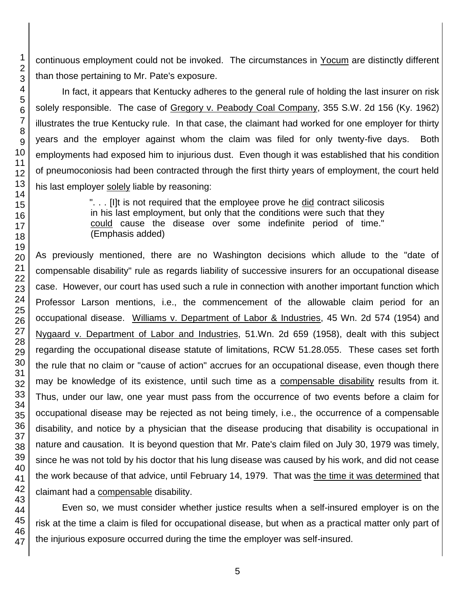continuous employment could not be invoked. The circumstances in Yocum are distinctly different than those pertaining to Mr. Pate's exposure.

In fact, it appears that Kentucky adheres to the general rule of holding the last insurer on risk solely responsible. The case of Gregory v. Peabody Coal Company, 355 S.W. 2d 156 (Ky. 1962) illustrates the true Kentucky rule. In that case, the claimant had worked for one employer for thirty years and the employer against whom the claim was filed for only twenty-five days. Both employments had exposed him to injurious dust. Even though it was established that his condition of pneumoconiosis had been contracted through the first thirty years of employment, the court held his last employer solely liable by reasoning:

> ". . . [I]t is not required that the employee prove he did contract silicosis in his last employment, but only that the conditions were such that they could cause the disease over some indefinite period of time." (Emphasis added)

As previously mentioned, there are no Washington decisions which allude to the "date of compensable disability" rule as regards liability of successive insurers for an occupational disease case. However, our court has used such a rule in connection with another important function which Professor Larson mentions, i.e., the commencement of the allowable claim period for an occupational disease. Williams v. Department of Labor & Industries, 45 Wn. 2d 574 (1954) and Nygaard v. Department of Labor and Industries, 51.Wn. 2d 659 (1958), dealt with this subject regarding the occupational disease statute of limitations, RCW 51.28.055. These cases set forth the rule that no claim or "cause of action" accrues for an occupational disease, even though there may be knowledge of its existence, until such time as a compensable disability results from it. Thus, under our law, one year must pass from the occurrence of two events before a claim for occupational disease may be rejected as not being timely, i.e., the occurrence of a compensable disability, and notice by a physician that the disease producing that disability is occupational in nature and causation. It is beyond question that Mr. Pate's claim filed on July 30, 1979 was timely, since he was not told by his doctor that his lung disease was caused by his work, and did not cease the work because of that advice, until February 14, 1979. That was the time it was determined that claimant had a compensable disability.

Even so, we must consider whether justice results when a self-insured employer is on the risk at the time a claim is filed for occupational disease, but when as a practical matter only part of the injurious exposure occurred during the time the employer was self-insured.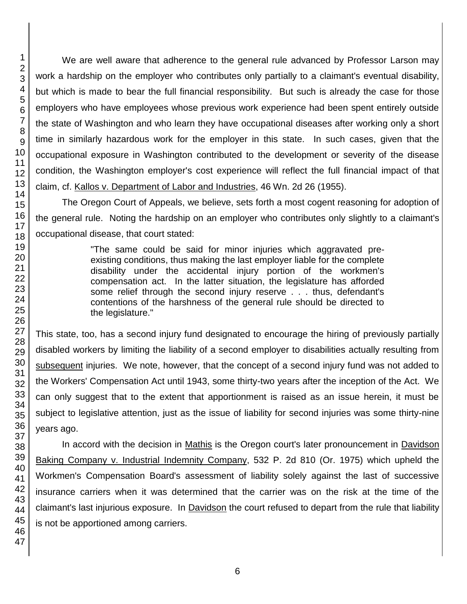We are well aware that adherence to the general rule advanced by Professor Larson may work a hardship on the employer who contributes only partially to a claimant's eventual disability, but which is made to bear the full financial responsibility. But such is already the case for those employers who have employees whose previous work experience had been spent entirely outside the state of Washington and who learn they have occupational diseases after working only a short time in similarly hazardous work for the employer in this state. In such cases, given that the occupational exposure in Washington contributed to the development or severity of the disease condition, the Washington employer's cost experience will reflect the full financial impact of that claim, cf. Kallos v. Department of Labor and Industries, 46 Wn. 2d 26 (1955).

The Oregon Court of Appeals, we believe, sets forth a most cogent reasoning for adoption of the general rule. Noting the hardship on an employer who contributes only slightly to a claimant's occupational disease, that court stated:

> "The same could be said for minor injuries which aggravated preexisting conditions, thus making the last employer liable for the complete disability under the accidental injury portion of the workmen's compensation act. In the latter situation, the legislature has afforded some relief through the second injury reserve . . . thus, defendant's contentions of the harshness of the general rule should be directed to the legislature."

This state, too, has a second injury fund designated to encourage the hiring of previously partially disabled workers by limiting the liability of a second employer to disabilities actually resulting from subsequent injuries. We note, however, that the concept of a second injury fund was not added to the Workers' Compensation Act until 1943, some thirty-two years after the inception of the Act. We can only suggest that to the extent that apportionment is raised as an issue herein, it must be subject to legislative attention, just as the issue of liability for second injuries was some thirty-nine years ago.

In accord with the decision in Mathis is the Oregon court's later pronouncement in Davidson Baking Company v. Industrial Indemnity Company, 532 P. 2d 810 (Or. 1975) which upheld the Workmen's Compensation Board's assessment of liability solely against the last of successive insurance carriers when it was determined that the carrier was on the risk at the time of the claimant's last injurious exposure. In Davidson the court refused to depart from the rule that liability is not be apportioned among carriers.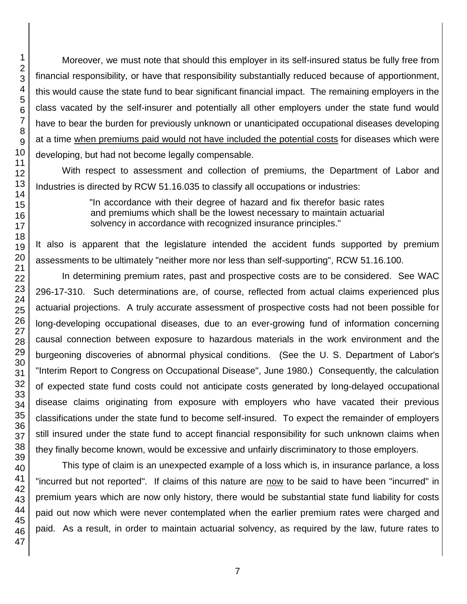Moreover, we must note that should this employer in its self-insured status be fully free from financial responsibility, or have that responsibility substantially reduced because of apportionment, this would cause the state fund to bear significant financial impact. The remaining employers in the class vacated by the self-insurer and potentially all other employers under the state fund would have to bear the burden for previously unknown or unanticipated occupational diseases developing at a time when premiums paid would not have included the potential costs for diseases which were developing, but had not become legally compensable.

With respect to assessment and collection of premiums, the Department of Labor and Industries is directed by RCW 51.16.035 to classify all occupations or industries:

> "In accordance with their degree of hazard and fix therefor basic rates and premiums which shall be the lowest necessary to maintain actuarial solvency in accordance with recognized insurance principles."

It also is apparent that the legislature intended the accident funds supported by premium assessments to be ultimately "neither more nor less than self-supporting", RCW 51.16.100.

In determining premium rates, past and prospective costs are to be considered. See WAC 296-17-310. Such determinations are, of course, reflected from actual claims experienced plus actuarial projections. A truly accurate assessment of prospective costs had not been possible for long-developing occupational diseases, due to an ever-growing fund of information concerning causal connection between exposure to hazardous materials in the work environment and the burgeoning discoveries of abnormal physical conditions. (See the U. S. Department of Labor's "Interim Report to Congress on Occupational Disease", June 1980.) Consequently, the calculation of expected state fund costs could not anticipate costs generated by long-delayed occupational disease claims originating from exposure with employers who have vacated their previous classifications under the state fund to become self-insured. To expect the remainder of employers still insured under the state fund to accept financial responsibility for such unknown claims when they finally become known, would be excessive and unfairly discriminatory to those employers.

This type of claim is an unexpected example of a loss which is, in insurance parlance, a loss "incurred but not reported". If claims of this nature are now to be said to have been "incurred" in premium years which are now only history, there would be substantial state fund liability for costs paid out now which were never contemplated when the earlier premium rates were charged and paid. As a result, in order to maintain actuarial solvency, as required by the law, future rates to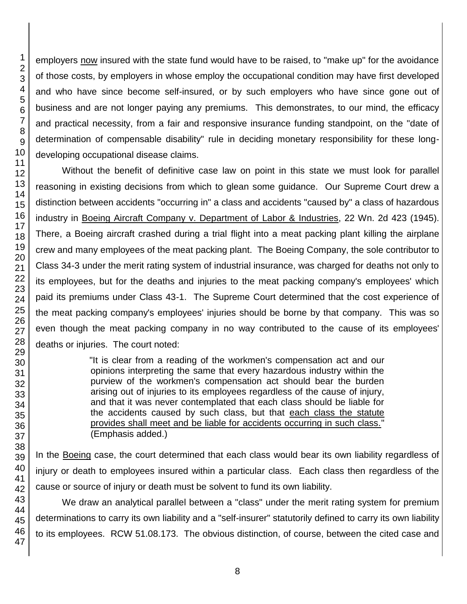employers now insured with the state fund would have to be raised, to "make up" for the avoidance of those costs, by employers in whose employ the occupational condition may have first developed and who have since become self-insured, or by such employers who have since gone out of business and are not longer paying any premiums. This demonstrates, to our mind, the efficacy and practical necessity, from a fair and responsive insurance funding standpoint, on the "date of determination of compensable disability" rule in deciding monetary responsibility for these longdeveloping occupational disease claims.

Without the benefit of definitive case law on point in this state we must look for parallel reasoning in existing decisions from which to glean some guidance. Our Supreme Court drew a distinction between accidents "occurring in" a class and accidents "caused by" a class of hazardous industry in Boeing Aircraft Company v. Department of Labor & Industries, 22 Wn. 2d 423 (1945). There, a Boeing aircraft crashed during a trial flight into a meat packing plant killing the airplane crew and many employees of the meat packing plant. The Boeing Company, the sole contributor to Class 34-3 under the merit rating system of industrial insurance, was charged for deaths not only to its employees, but for the deaths and injuries to the meat packing company's employees' which paid its premiums under Class 43-1. The Supreme Court determined that the cost experience of the meat packing company's employees' injuries should be borne by that company. This was so even though the meat packing company in no way contributed to the cause of its employees' deaths or injuries. The court noted:

> "It is clear from a reading of the workmen's compensation act and our opinions interpreting the same that every hazardous industry within the purview of the workmen's compensation act should bear the burden arising out of injuries to its employees regardless of the cause of injury, and that it was never contemplated that each class should be liable for the accidents caused by such class, but that each class the statute provides shall meet and be liable for accidents occurring in such class." (Emphasis added.)

In the Boeing case, the court determined that each class would bear its own liability regardless of injury or death to employees insured within a particular class. Each class then regardless of the cause or source of injury or death must be solvent to fund its own liability.

We draw an analytical parallel between a "class" under the merit rating system for premium determinations to carry its own liability and a "self-insurer" statutorily defined to carry its own liability to its employees. RCW 51.08.173. The obvious distinction, of course, between the cited case and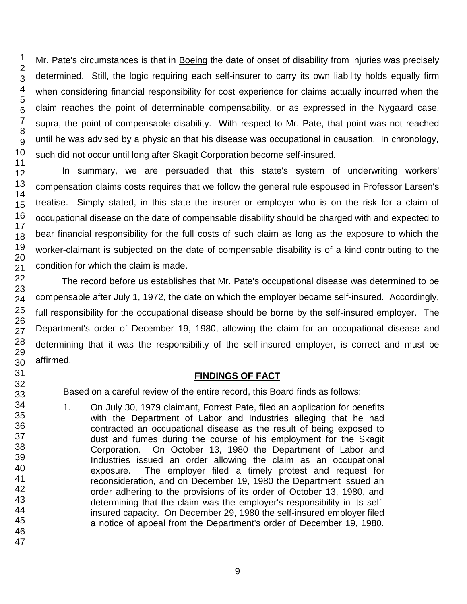Mr. Pate's circumstances is that in Boeing the date of onset of disability from injuries was precisely determined. Still, the logic requiring each self-insurer to carry its own liability holds equally firm when considering financial responsibility for cost experience for claims actually incurred when the claim reaches the point of determinable compensability, or as expressed in the Nygaard case, supra, the point of compensable disability. With respect to Mr. Pate, that point was not reached until he was advised by a physician that his disease was occupational in causation. In chronology, such did not occur until long after Skagit Corporation become self-insured.

In summary, we are persuaded that this state's system of underwriting workers' compensation claims costs requires that we follow the general rule espoused in Professor Larsen's treatise. Simply stated, in this state the insurer or employer who is on the risk for a claim of occupational disease on the date of compensable disability should be charged with and expected to bear financial responsibility for the full costs of such claim as long as the exposure to which the worker-claimant is subjected on the date of compensable disability is of a kind contributing to the condition for which the claim is made.

The record before us establishes that Mr. Pate's occupational disease was determined to be compensable after July 1, 1972, the date on which the employer became self-insured. Accordingly, full responsibility for the occupational disease should be borne by the self-insured employer. The Department's order of December 19, 1980, allowing the claim for an occupational disease and determining that it was the responsibility of the self-insured employer, is correct and must be affirmed.

### **FINDINGS OF FACT**

Based on a careful review of the entire record, this Board finds as follows:

1. On July 30, 1979 claimant, Forrest Pate, filed an application for benefits with the Department of Labor and Industries alleging that he had contracted an occupational disease as the result of being exposed to dust and fumes during the course of his employment for the Skagit Corporation. On October 13, 1980 the Department of Labor and Industries issued an order allowing the claim as an occupational exposure. The employer filed a timely protest and request for reconsideration, and on December 19, 1980 the Department issued an order adhering to the provisions of its order of October 13, 1980, and determining that the claim was the employer's responsibility in its selfinsured capacity. On December 29, 1980 the self-insured employer filed a notice of appeal from the Department's order of December 19, 1980.